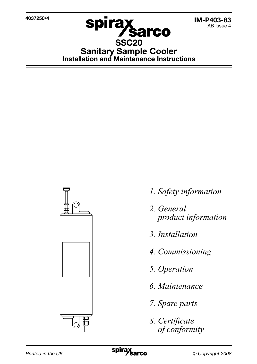

**Sarco SSC20** Sanitary Sample Cooler Installation and Maintenance Instructions

spira



- *1. Safety information*
- *2. General product information*
- *3. Installation*
- *4. Commissioning*
- *5. Operation*
- *6. Maintenance*
- *7. Spare parts*
- *8. Certificate of conformity*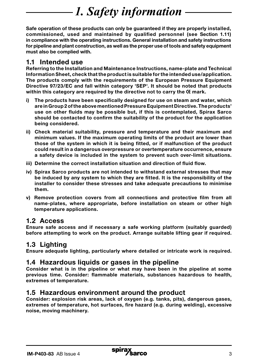# *1. Safety information*

Safe operation of these products can only be guaranteed if they are properly installed, commissioned, used and maintained by qualified personnel (see Section 1.11) in compliance with the operating instructions. General installation and safety instructions for pipeline and plant construction, as well as the proper use of tools and safety equipment must also be complied with.

#### 1.1 Intended use

Referring to the Installation and Maintenance Instructions, name-plate and Technical Information Sheet, check that the product is suitable for the intended use/application. The products comply with the requirements of the European Pressure Equipment Directive 97/23/EC and fall within category 'SEP'. It should be noted that products within this category are required by the directive not to carry the CE mark.

- i) The products have been specifically designed for use on steam and water, which are in Group 2 of the above mentioned Pressure Equipment Directive. The products' use on other fluids may be possible but, if this is contemplated, Spirax Sarco should be contacted to confirm the suitability of the product for the application being considered.
- ii) Check material suitability, pressure and temperature and their maximum and minimum values. If the maximum operating limits of the product are lower than those of the system in which it is being fitted, or if malfunction of the product could result in a dangerous overpressure or overtemperature occurrence, ensure a safety device is included in the system to prevent such over-limit situations.
- iii) Determine the correct installation situation and direction of fluid flow.
- iv) Spirax Sarco products are not intended to withstand external stresses that may be induced by any system to which they are fitted. It is the responsibility of the installer to consider these stresses and take adequate precautions to minimise them.
- v) Remove protection covers from all connections and protective film from all name-plates, where appropriate, before installation on steam or other high temperature applications.

#### 1.2 Access

Ensure safe access and if necessary a safe working platform (suitably guarded) before attempting to work on the product. Arrange suitable lifting gear if required.

## 1.3 Lighting

Ensure adequate lighting, particularly where detailed or intricate work is required.

### 1.4 Hazardous liquids or gases in the pipeline

Consider what is in the pipeline or what may have been in the pipeline at some previous time. Consider: flammable materials, substances hazardous to health, extremes of temperature.

### 1.5 Hazardous environment around the product

Consider: explosion risk areas, lack of oxygen (e.g. tanks, pits), dangerous gases, extremes of temperature, hot surfaces, fire hazard (e.g. during welding), excessive noise, moving machinery.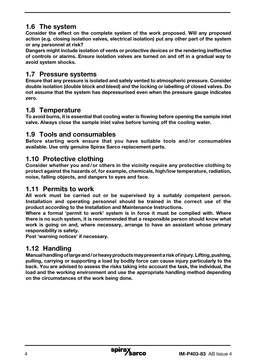### 1.6 The system

Consider the effect on the complete system of the work proposed. Will any proposed action (e.g. closing isolation valves, electrical isolation) put any other part of the system or any personnel at risk?

Dangers might include isolation of vents or protective devices or the rendering ineffective of controls or alarms. Ensure isolation valves are turned on and off in a gradual way to avoid system shocks.

#### 1.7 Pressure systems

Ensure that any pressure is isolated and safely vented to atmospheric pressure. Consider double isolation (double block and bleed) and the locking or labelling of closed valves. Do not assume that the system has depressurised even when the pressure gauge indicates zero.

#### 1.8 Temperature

To avoid burns, it is essential that cooling water is flowing before opening the sample inlet valve. Always close the sample inlet valve before turning off the cooling water.

#### 1.9 Tools and consumables

Before starting work ensure that you have suitable tools and /or consumables available. Use only genuine Spirax Sarco replacement parts.

#### 1.10 Protective clothing

Consider whether you and /or others in the vicinity require any protective clothing to protect against the hazards of, for example, chemicals, high/low temperature, radiation, noise, falling objects, and dangers to eyes and face.

#### 1.11 Permits to work

All work must be carried out or be supervised by a suitably competent person. Installation and operating personnel should be trained in the correct use of the product according to the Installation and Maintenance Instructions.

Where a formal 'permit to work' system is in force it must be complied with. Where there is no such system, it is recommended that a responsible person should know what work is going on and, where necessary, arrange to have an assistant whose primary responsibility is safety.

Post 'warning notices' if necessary.

#### 1.12 Handling

Manual handling of large and/or heavy products may present a risk of injury. Lifting, pushing, pulling, carrying or supporting a load by bodily force can cause injury particularly to the back. You are advised to assess the risks taking into account the task, the individual, the load and the working environment and use the appropriate handling method depending on the circumstances of the work being done.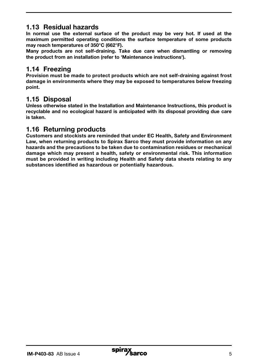### 1.13 Residual hazards

In normal use the external surface of the product may be very hot. If used at the maximum permitted operating conditions the surface temperature of some products may reach temperatures of 350°C (662°F).

Many products are not self-draining. Take due care when dismantling or removing the product from an installation (refer to 'Maintenance instructions').

#### 1.14 Freezing

Provision must be made to protect products which are not self-draining against frost damage in environments where they may be exposed to temperatures below freezing point.

#### 1.15 Disposal

Unless otherwise stated in the Installation and Maintenance Instructions, this product is recyclable and no ecological hazard is anticipated with its disposal providing due care is taken.

#### 1.16 Returning products

Customers and stockists are reminded that under EC Health, Safety and Environment Law, when returning products to Spirax Sarco they must provide information on any hazards and the precautions to be taken due to contamination residues or mechanical damage which may present a health, safety or environmental risk. This information must be provided in writing including Health and Safety data sheets relating to any substances identified as hazardous or potentially hazardous.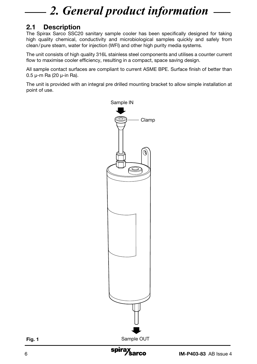## *2. General product information*

### 2.1 Description

The Spirax Sarco SSC20 sanitary sample cooler has been specifically designed for taking high quality chemical, conductivity and microbiological samples quickly and safely from clean/pure steam, water for injection (WFI) and other high purity media systems.

The unit consists of high quality 316L stainless steel components and utilises a counter current flow to maximise cooler efficiency, resulting in a compact, space saving design.

All sample contact surfaces are compliant to current ASME BPE. Surface finish of better than 0.5 µ-m Ra (20 µ-in Ra).

The unit is provided with an integral pre drilled mounting bracket to allow simple installation at point of use.



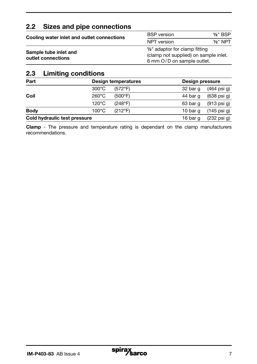## 2.2 Sizes and pipe connections

| Cooling water inlet and outlet connections  | <b>BSP</b> version | 16" BSP                                                                                                          |  |
|---------------------------------------------|--------------------|------------------------------------------------------------------------------------------------------------------|--|
|                                             | NPT version        | 1⁄2" NPT                                                                                                         |  |
| Sample tube inlet and<br>outlet connections |                    | $\frac{1}{2}$ " adaptor for clamp fitting<br>(clamp not supplied) on sample inlet.<br>6 mm O/D on sample outlet. |  |

## 2.3 Limiting conditions

| Part                         |                 | Design temperatures |                        | Design pressure        |  |
|------------------------------|-----------------|---------------------|------------------------|------------------------|--|
|                              | $300^{\circ}$ C | (572°F)             | 32 bar q               | $(464 \text{ psi } q)$ |  |
| Coil                         | $260^{\circ}$ C | (500°F)             | 44 bar g               | (638 psi g)            |  |
|                              | $120^{\circ}$ C | (248°F)             | 63 bar q               | $(913$ psi q)          |  |
| <b>Body</b>                  | $100^{\circ}$ C | $(212^{\circ}F)$    | 10 bar g               | $(145 \text{ psi } q)$ |  |
| Cold hydraulic test pressure |                 | 16 bar g            | $(232 \text{ psi } q)$ |                        |  |

Clamp - The pressure and temperature rating is dependant on the clamp manufacturers recommendations.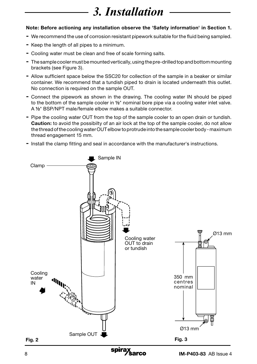## *3. Installation*

#### Note: Before actioning any installation observe the 'Safety information' in Section 1.

- We recommend the use of corrosion resistant pipework suitable for the fluid being sampled.
- Keep the length of all pipes to a minimum.
- Cooling water must be clean and free of scale forming salts.
- The sample cooler must be mounted vertically, using the pre-drilled top and bottom mounting brackets (see Figure 3).
- Allow sufficient space below the SSC20 for collection of the sample in a beaker or similar container. We recommend that a tundish piped to drain is located underneath this outlet. No connection is required on the sample OUT.
- Connect the pipework as shown in the drawing. The cooling water IN should be piped to the bottom of the sample cooler in  $\frac{1}{2}$ " nominal bore pipe via a cooling water inlet valve. A ½" BSP/NPT male/female elbow makes a suitable connector.
- Pipe the cooling water OUT from the top of the sample cooler to an open drain or tundish. **Caution:** to avoid the possibilty of an air lock at the top of the sample cooler, do not allow the thread of the cooling water OUT elbow to protrude into the sample cooler body - maximum thread engagement 15 mm.
- Install the clamp fitting and seal in accordance with the manufacturer's instructions.

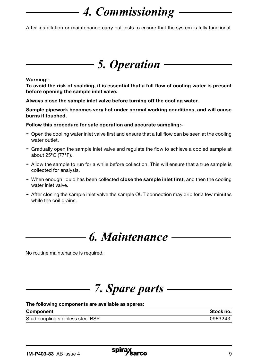## *4. Commissioning*

After installation or maintenance carry out tests to ensure that the system is fully functional.



Warning:-

To avoid the risk of scalding, it is essential that a full flow of cooling water is present before opening the sample inlet valve.

Always close the sample inlet valve before turning off the cooling water.

Sample pipework becomes very hot under normal working conditions, and will cause burns if touched.

Follow this procedure for safe operation and accurate sampling:-

- Open the cooling water inlet valve first and ensure that a full flow can be seen at the cooling water outlet.
- Gradually open the sample inlet valve and regulate the flow to achieve a cooled sample at about 25°C (77°F).
- Allow the sample to run for a while before collection. This will ensure that a true sample is collected for analysis.
- When enough liquid has been collected **close the sample inlet first**, and then the cooling water inlet valve.
- After closing the sample inlet valve the sample OUT connection may drip for a few minutes while the coil drains.

## *6. Maintenance*

No routine maintenance is required.



| The following components are available as spares: |  |
|---------------------------------------------------|--|
|---------------------------------------------------|--|

| Component                         | Stock no. |
|-----------------------------------|-----------|
| Stud coupling stainless steel BSP | 0963243   |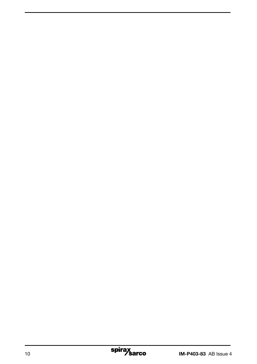